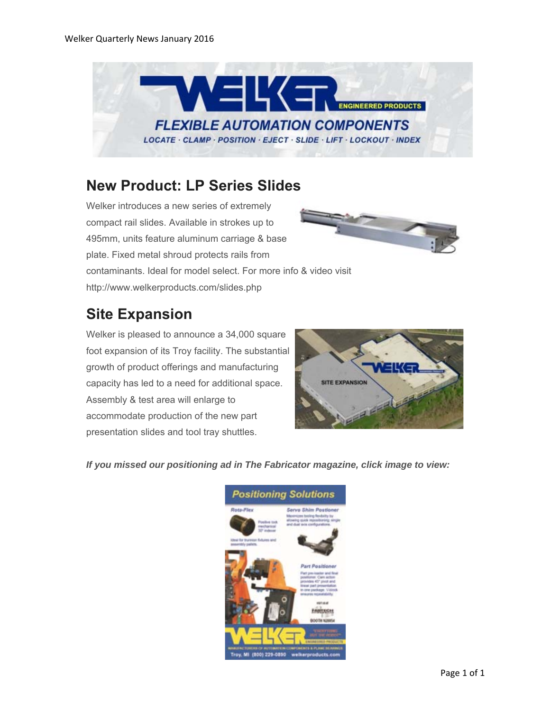

#### **New Product: LP Series Slides**

Welker introduces a new series of extremely compact rail slides. Available in strokes up to 495mm, units feature aluminum carriage & base plate. Fixed metal shroud protects rails from contaminants. Ideal for model select. For more info & video visit



http://www.welkerproducts.com/slides.php

# **Site Expansion**

Welker is pleased to announce a 34,000 square foot expansion of its Troy facility. The substantial growth of product offerings and manufacturing capacity has led to a need for additional space. Assembly & test area will enlarge to accommodate production of the new part presentation slides and tool tray shuttles.



*If you missed our positioning ad in The Fabricator magazine, click image to view:*

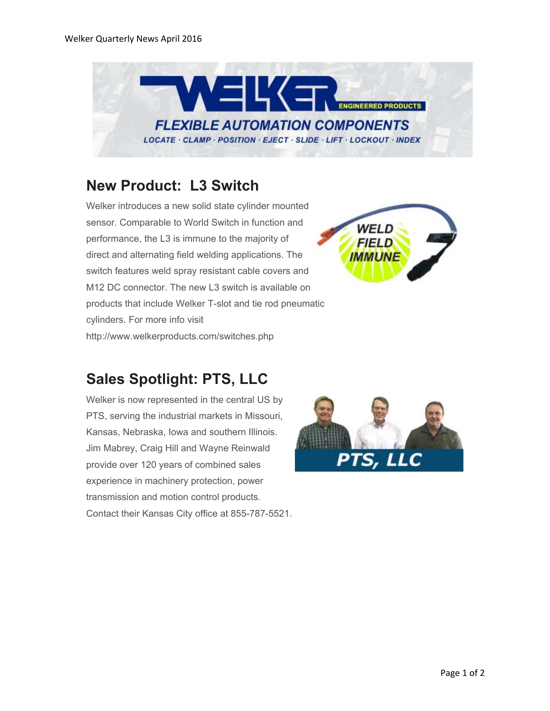

### **New Product: L3 Switch**

Welker introduces a new solid state cylinder mounted sensor. Comparable to World Switch in function and performance, the L3 is immune to the majority of direct and alternating field welding applications. The switch features weld spray resistant cable covers and M12 DC connector. The new L3 switch is available on products that include Welker T-slot and tie rod pneumatic cylinders. For more info visit http://www.welkerproducts.com/switches.php



## **Sales Spotlight: PTS, LLC**

Welker is now represented in the central US by PTS, serving the industrial markets in Missouri, Kansas, Nebraska, Iowa and southern Illinois. Jim Mabrey, Craig Hill and Wayne Reinwald provide over 120 years of combined sales experience in machinery protection, power transmission and motion control products. Contact their Kansas City office at 855-787-5521.

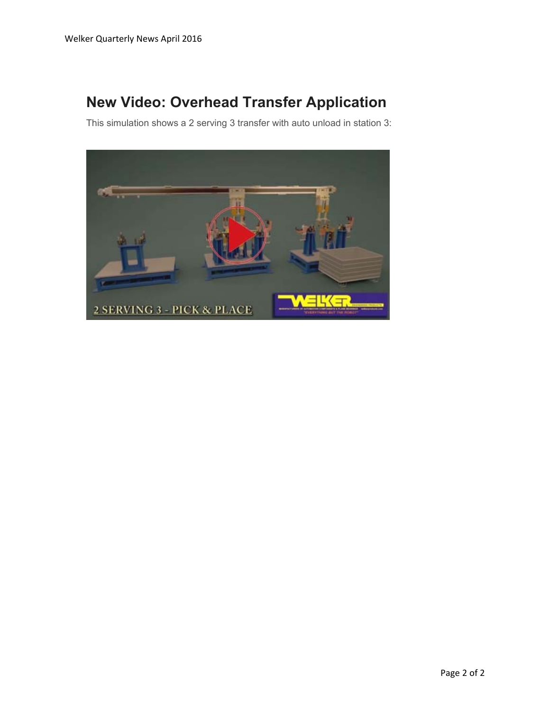# **New Video: Overhead Transfer Application**

This simulation shows a 2 serving 3 transfer with auto unload in station 3:

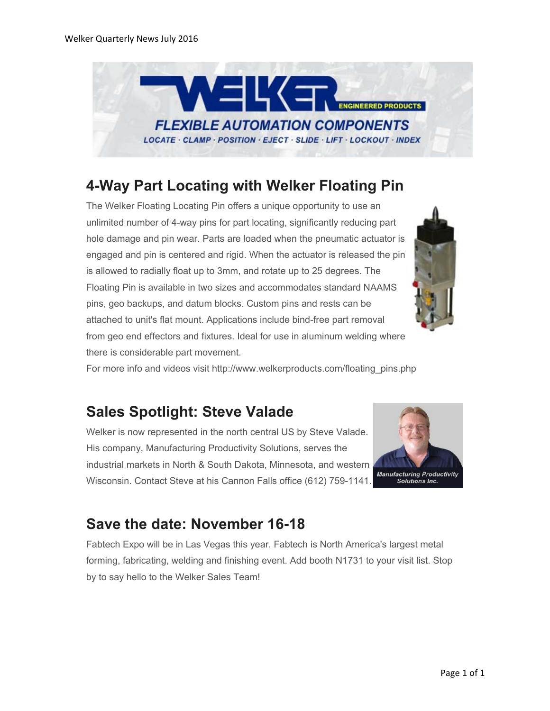

### **4-Way Part Locating with Welker Floating Pin**

The Welker Floating Locating Pin offers a unique opportunity to use an unlimited number of 4-way pins for part locating, significantly reducing part hole damage and pin wear. Parts are loaded when the pneumatic actuator is engaged and pin is centered and rigid. When the actuator is released the pin is allowed to radially float up to 3mm, and rotate up to 25 degrees. The Floating Pin is available in two sizes and accommodates standard NAAMS pins, geo backups, and datum blocks. Custom pins and rests can be attached to unit's flat mount. Applications include bind-free part removal from geo end effectors and fixtures. Ideal for use in aluminum welding where there is considerable part movement.



For more info and videos visit http://www.welkerproducts.com/floating\_pins.php

### **Sales Spotlight: Steve Valade**

Welker is now represented in the north central US by Steve Valade. His company, Manufacturing Productivity Solutions, serves the industrial markets in North & South Dakota, Minnesota, and western Wisconsin. Contact Steve at his Cannon Falls office (612) 759-1141.



### **Save the date: November 16-18**

Fabtech Expo will be in Las Vegas this year. Fabtech is North America's largest metal forming, fabricating, welding and finishing event. Add booth N1731 to your visit list. Stop by to say hello to the Welker Sales Team!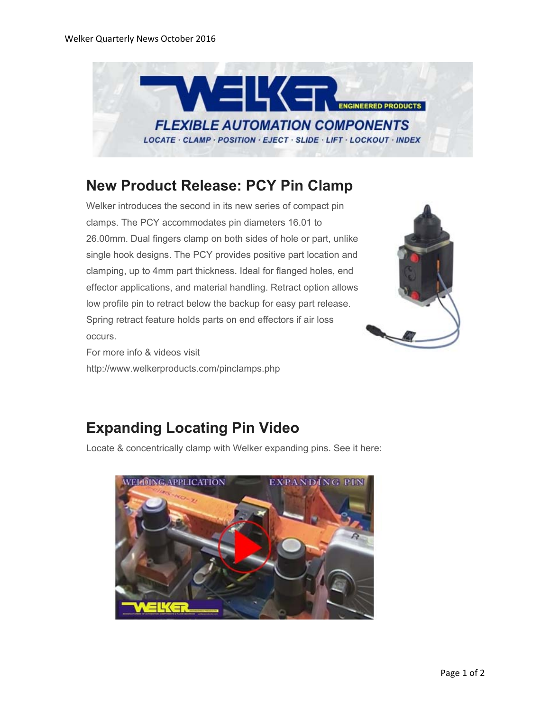

#### **New Product Release: PCY Pin Clamp**

Welker introduces the second in its new series of compact pin clamps. The PCY accommodates pin diameters 16.01 to 26.00mm. Dual fingers clamp on both sides of hole or part, unlike single hook designs. The PCY provides positive part location and clamping, up to 4mm part thickness. Ideal for flanged holes, end effector applications, and material handling. Retract option allows low profile pin to retract below the backup for easy part release. Spring retract feature holds parts on end effectors if air loss occurs.

For more info & videos visit http://www.welkerproducts.com/pinclamps.php



# **Expanding Locating Pin Video**

Locate & concentrically clamp with Welker expanding pins. See it here: